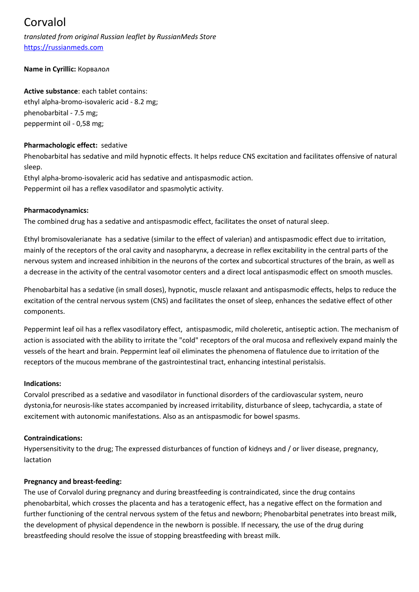# Corvalol

*translated from original Russian leaflet by RussianMeds Store* [https://russianmeds.com](file://E:/russianmeds.com/pdf/https://russianmeds.com)

# **Name in Cyrillic:** Корвалол

#### **Active substance**: each tablet contains:

ethyl alpha-bromo-isovaleric acid - 8.2 mg; phenobarbital - 7.5 mg; peppermint oil - 0,58 mg;

#### **Pharmachologic effect:** sedative

Phenobarbital has sedative and mild hypnotic effects. It helps reduce CNS excitation and facilitates offensive of natural sleep.

Ethyl alpha-bromo-isovaleric acid has sedative and antispasmodic action. Peppermint oil has a reflex vasodilator and spasmolytic activity.

#### **Pharmacodynamics:**

The combined drug has a sedative and antispasmodic effect, facilitates the onset of natural sleep.

Ethyl bromisovalerianate has a sedative (similar to the effect of valerian) and antispasmodic effect due to irritation, mainly of the receptors of the oral cavity and nasopharynx, a decrease in reflex excitability in the central parts of the nervous system and increased inhibition in the neurons of the cortex and subcortical structures of the brain, as well as a decrease in the activity of the central vasomotor centers and a direct local antispasmodic effect on smooth muscles.

Phenobarbital has a sedative (in small doses), hypnotic, muscle relaxant and antispasmodic effects, helps to reduce the excitation of the central nervous system (CNS) and facilitates the onset of sleep, enhances the sedative effect of other components.

Peppermint leaf oil has a reflex vasodilatory effect, antispasmodic, mild choleretic, antiseptic action. The mechanism of action is associated with the ability to irritate the "cold" receptors of the oral mucosa and reflexively expand mainly the vessels of the heart and brain. Peppermint leaf oil eliminates the phenomena of flatulence due to irritation of the receptors of the mucous membrane of the gastrointestinal tract, enhancing intestinal peristalsis.

#### **Indications:**

Corvalol prescribed as a sedative and vasodilator in functional disorders of the cardiovascular system, neuro dystonia,for neurosis-like states accompanied by increased irritability, disturbance of sleep, tachycardia, a state of excitement with autonomic manifestations. Also as an antispasmodic for bowel spasms.

# **Contraindications:**

Hypersensitivity to the drug; The expressed disturbances of function of kidneys and / or liver disease, pregnancy, lactation

# **Pregnancy and breast-feeding:**

The use of Corvalol during pregnancy and during breastfeeding is contraindicated, since the drug contains phenobarbital, which crosses the placenta and has a teratogenic effect, has a negative effect on the formation and further functioning of the central nervous system of the fetus and newborn; Phenobarbital penetrates into breast milk, the development of physical dependence in the newborn is possible. If necessary, the use of the drug during breastfeeding should resolve the issue of stopping breastfeeding with breast milk.